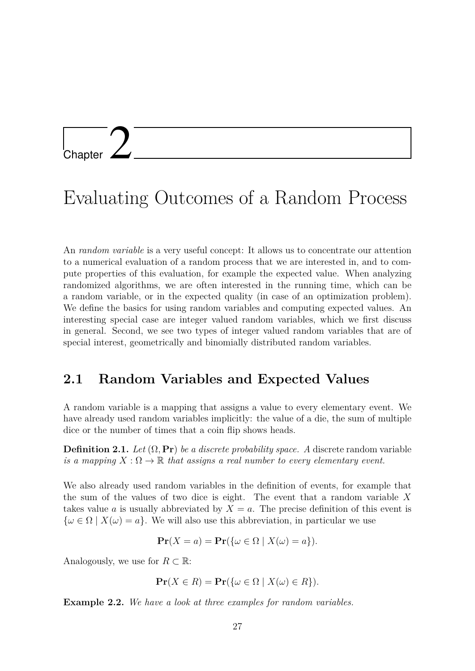## Chapter 2

## Evaluating Outcomes of a Random Process

An *random variable* is a very useful concept: It allows us to concentrate our attention to a numerical evaluation of a random process that we are interested in, and to compute properties of this evaluation, for example the expected value. When analyzing randomized algorithms, we are often interested in the running time, which can be a random variable, or in the expected quality (in case of an optimization problem). We define the basics for using random variables and computing expected values. An interesting special case are integer valued random variables, which we first discuss in general. Second, we see two types of integer valued random variables that are of special interest, geometrically and binomially distributed random variables.

## **2.1 Random Variables and Expected Values**

A random variable is a mapping that assigns a value to every elementary event. We have already used random variables implicitly: the value of a die, the sum of multiple dice or the number of times that a coin flip shows heads.

**Definition 2.1.** Let  $(\Omega, \textbf{Pr})$  be a discrete probability space. A discrete random variable *is a mapping*  $X : \Omega \to \mathbb{R}$  *that assigns a real number to every elementary event.* 

We also already used random variables in the definition of events, for example that the sum of the values of two dice is eight. The event that a random variable *X* takes value *a* is usually abbreviated by  $X = a$ . The precise definition of this event is  $\{\omega \in \Omega \mid X(\omega) = a\}.$  We will also use this abbreviation, in particular we use

$$
\mathbf{Pr}(X = a) = \mathbf{Pr}(\{\omega \in \Omega \mid X(\omega) = a\}).
$$

Analogously, we use for  $R \subset \mathbb{R}$ :

$$
\mathbf{Pr}(X \in R) = \mathbf{Pr}(\{\omega \in \Omega \mid X(\omega) \in R\}).
$$

<span id="page-0-0"></span>**Example 2.2.** *We have a look at three examples for random variables.*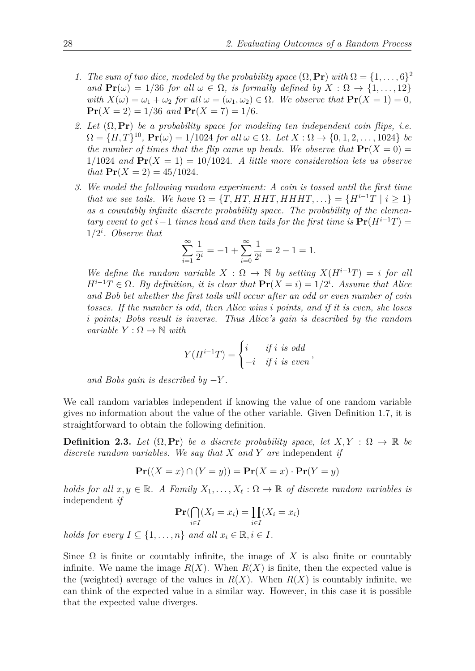- *1. The sum of two dice, modeled by the probability space*  $(\Omega, \mathbf{Pr})$  *with*  $\Omega = \{1, \ldots, 6\}^2$ *and*  $\Pr(\omega) = 1/36$  *for all*  $\omega \in \Omega$ *, is formally defined by*  $X : \Omega \to \{1, \ldots, 12\}$ *with*  $X(\omega) = \omega_1 + \omega_2$  *for all*  $\omega = (\omega_1, \omega_2) \in \Omega$ *. We observe that*  $\Pr(X = 1) = 0$ *,*  $\Pr(X = 2) = \frac{1}{36}$  *and*  $\Pr(X = 7) = \frac{1}{6}$ .
- *2. Let* (Ω*,* **Pr**) *be a probability space for modeling ten independent coin flips, i.e.*  $\Omega = \{H, T\}^{10}, \Pr(\omega) = 1/1024 \text{ for all } \omega \in \Omega.$  Let  $X : \Omega \to \{0, 1, 2, \ldots, 1024\}$  be *the number of times that the flip came up heads. We observe that*  $\mathbf{Pr}(X = 0) =$  $1/1024$  *and*  $Pr(X = 1) = 10/1024$ *. A little more consideration lets us observe that*  $Pr(X = 2) = 45/1024$ .
- *3. We model the following random experiment: A coin is tossed until the first time that we see tails. We have*  $\Omega = \{T, HT, HHT, HHT, ...\} = \{H^{i-1}T \mid i \geq 1\}$ *as a countably infinite discrete probability space. The probability of the elementary event to get*  $i-1$  *times head and then tails for the first time is*  $Pr(H^{i-1}T)$  = 1*/*2 *i . Observe that*

$$
\sum_{i=1}^{\infty} \frac{1}{2^i} = -1 + \sum_{i=0}^{\infty} \frac{1}{2^i} = 2 - 1 = 1.
$$

*We define the random variable*  $X : \Omega \to \mathbb{N}$  *by setting*  $X(H^{i-1}T) = i$  *for all*  $H^{i-1}T \in \Omega$ . By definition, it is clear that  $\Pr(X = i) = 1/2^i$ . Assume that Alice *and Bob bet whether the first tails will occur after an odd or even number of coin tosses. If the number is odd, then Alice wins i points, and if it is even, she loses i points; Bobs result is inverse. Thus Alice's gain is described by the random variable*  $Y : \Omega \to \mathbb{N}$  *with* 

$$
Y(H^{i-1}T) = \begin{cases} i & \text{if } i \text{ is odd} \\ -i & \text{if } i \text{ is even} \end{cases}
$$

*and Bobs gain is described by*  $-Y$ *.* 

We call random variables independent if knowing the value of one random variable gives no information about the value of the other variable. Given Definition 1.7, it is straightforward to obtain the following definition.

**Definition 2.3.** Let  $(\Omega, \text{Pr})$  be a discrete probability space, let  $X, Y : \Omega \to \mathbb{R}$  be *discrete random variables. We say that X and Y are* independent *if*

$$
\mathbf{Pr}((X = x) \cap (Y = y)) = \mathbf{Pr}(X = x) \cdot \mathbf{Pr}(Y = y)
$$

*holds for all*  $x, y \in \mathbb{R}$ *. A Family*  $X_1, \ldots, X_\ell : \Omega \to \mathbb{R}$  *of discrete random variables is* independent *if*

$$
\Pr(\bigcap_{i \in I} (X_i = x_i) = \prod_{i \in I} (X_i = x_i)
$$

*holds for every*  $I \subseteq \{1, \ldots, n\}$  *and all*  $x_i \in \mathbb{R}, i \in I$ .

Since  $\Omega$  is finite or countably infinite, the image of X is also finite or countably infinite. We name the image  $R(X)$ . When  $R(X)$  is finite, then the expected value is the (weighted) average of the values in  $R(X)$ . When  $R(X)$  is countably infinite, we can think of the expected value in a similar way. However, in this case it is possible that the expected value diverges.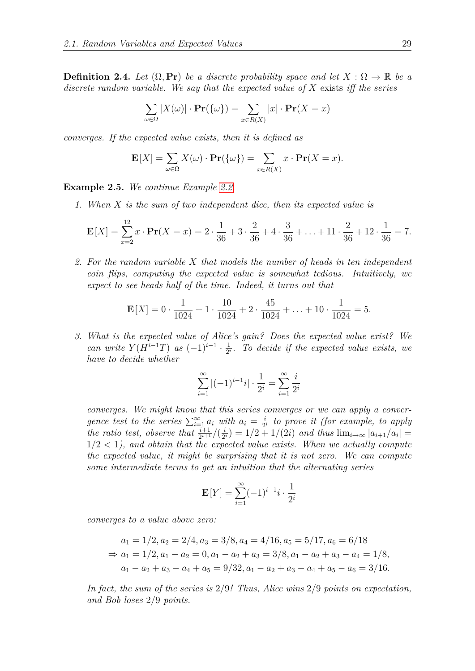**Definition 2.4.** *Let*  $(\Omega, \textbf{Pr})$  *be a discrete probability space and let*  $X : \Omega \to \mathbb{R}$  *be a discrete random variable. We say that the expected value of X* exists *iff the series*

$$
\sum_{\omega \in \Omega} |X(\omega)| \cdot \mathbf{Pr}(\{\omega\}) = \sum_{x \in R(X)} |x| \cdot \mathbf{Pr}(X = x)
$$

*converges. If the expected value exists, then it is defined as*

$$
\mathbf{E}[X] = \sum_{\omega \in \Omega} X(\omega) \cdot \mathbf{Pr}(\{\omega\}) = \sum_{x \in R(X)} x \cdot \mathbf{Pr}(X = x).
$$

**Example 2.5.** *We continue Example [2.2.](#page-0-0)*

*1. When X is the sum of two independent dice, then its expected value is*

$$
\mathbf{E}[X] = \sum_{x=2}^{12} x \cdot \mathbf{Pr}(X = x) = 2 \cdot \frac{1}{36} + 3 \cdot \frac{2}{36} + 4 \cdot \frac{3}{36} + \dots + 11 \cdot \frac{2}{36} + 12 \cdot \frac{1}{36} = 7.
$$

*2. For the random variable X that models the number of heads in ten independent coin flips, computing the expected value is somewhat tedious. Intuitively, we expect to see heads half of the time. Indeed, it turns out that*

$$
\mathbf{E}[X] = 0 \cdot \frac{1}{1024} + 1 \cdot \frac{10}{1024} + 2 \cdot \frac{45}{1024} + \dots + 10 \cdot \frac{1}{1024} = 5.
$$

*3. What is the expected value of Alice's gain? Does the expected value exist? We can write*  $Y(H^{i-1}T)$  *as*  $(-1)^{i-1} \cdot \frac{1}{2^n}$  $\frac{1}{2^i}$ . To decide if the expected value exists, we *have to decide whether*

$$
\sum_{i=1}^{\infty} |(-1)^{i-1}i| \cdot \frac{1}{2^i} = \sum_{i=1}^{\infty} \frac{i}{2^i}
$$

*converges. We might know that this series converges or we can apply a convergence test to the series*  $\sum_{i=1}^{\infty} a_i$  *with*  $a_i = \frac{i}{2}$  $\frac{i}{2^i}$  to prove it (for example, to apply *the ratio test, observe that*  $\frac{i+1}{2^{i+1}}$  / $(\frac{i}{2})$  $\frac{i}{2^i}$ ) = 1/2 + 1/(2*i*) *and thus*  $\lim_{i\to\infty}$   $|a_{i+1}/a_i|$  =  $1/2 < 1$ , and obtain that the expected value exists. When we actually compute *the expected value, it might be surprising that it is not zero. We can compute some intermediate terms to get an intuition that the alternating series*

$$
\mathbf{E}[Y] = \sum_{i=1}^{\infty} (-1)^{i-1} i \cdot \frac{1}{2^i}
$$

*converges to a value above zero:*

$$
a_1 = 1/2, a_2 = 2/4, a_3 = 3/8, a_4 = 4/16, a_5 = 5/17, a_6 = 6/18
$$
  
\n
$$
\Rightarrow a_1 = 1/2, a_1 - a_2 = 0, a_1 - a_2 + a_3 = 3/8, a_1 - a_2 + a_3 - a_4 = 1/8,
$$
  
\n
$$
a_1 - a_2 + a_3 - a_4 + a_5 = 9/32, a_1 - a_2 + a_3 - a_4 + a_5 - a_6 = 3/16.
$$

*In fact, the sum of the series is* 2*/*9*! Thus, Alice wins* 2*/*9 *points on expectation, and Bob loses* 2*/*9 *points.*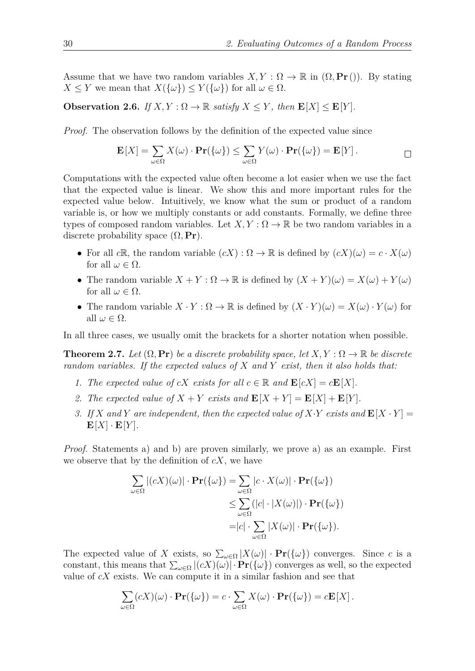Assume that we have two random variables  $X, Y : \Omega \to \mathbb{R}$  in  $(\Omega, \text{Pr}(\cdot))$ . By stating  $X \leq Y$  we mean that  $X(\{\omega\}) \leq Y(\{\omega\})$  for all  $\omega \in \Omega$ .

**Observation 2.6.** *If*  $X, Y : \Omega \to \mathbb{R}$  *satisfy*  $X \leq Y$ *, then*  $\mathbf{E}[X] \leq \mathbf{E}[Y]$ *.* 

*Proof.* The observation follows by the definition of the expected value since

$$
\mathbf{E}[X] = \sum_{\omega \in \Omega} X(\omega) \cdot \mathbf{Pr}(\{\omega\}) \le \sum_{\omega \in \Omega} Y(\omega) \cdot \mathbf{Pr}(\{\omega\}) = \mathbf{E}[Y].
$$

Computations with the expected value often become a lot easier when we use the fact that the expected value is linear. We show this and more important rules for the expected value below. Intuitively, we know what the sum or product of a random variable is, or how we multiply constants or add constants. Formally, we define three types of composed random variables. Let  $X, Y: \Omega \to \mathbb{R}$  be two random variables in a discrete probability space  $(\Omega, \textbf{Pr})$ .

- For all *c*R, the random variable  $(cX): \Omega \to \mathbb{R}$  is defined by  $(cX)(\omega) = c \cdot X(\omega)$ for all  $\omega \in \Omega$ .
- The random variable  $X + Y : \Omega \to \mathbb{R}$  is defined by  $(X + Y)(\omega) = X(\omega) + Y(\omega)$ for all  $\omega \in \Omega$ .
- The random variable  $X \cdot Y : \Omega \to \mathbb{R}$  is defined by  $(X \cdot Y)(\omega) = X(\omega) \cdot Y(\omega)$  for all  $\omega \in \Omega$ .

In all three cases, we usually omit the brackets for a shorter notation when possible.

<span id="page-3-0"></span>**Theorem 2.7.** Let  $(\Omega, \textbf{Pr})$  be a discrete probability space, let  $X, Y : \Omega \to \mathbb{R}$  be discrete *random variables. If the expected values of X and Y exist, then it also holds that:*

- *1. The expected value of cX exists for all*  $c \in \mathbb{R}$  *and*  $\mathbf{E}[cX] = c\mathbf{E}[X]$ *.*
- 2. The expected value of  $X + Y$  exists and  $\mathbf{E}[X + Y] = \mathbf{E}[X] + \mathbf{E}[Y]$ .
- *3.* If X and Y are independent, then the expected value of X·*Y* exists and  $\mathbf{E}[X \cdot Y] =$  $\mathbf{E}[X] \cdot \mathbf{E}[Y]$ *.*

*Proof.* Statements a) and b) are proven similarly, we prove a) as an example. First we observe that by the definition of *cX*, we have

$$
\sum_{\omega \in \Omega} |(cX)(\omega)| \cdot \mathbf{Pr}(\{\omega\}) = \sum_{\omega \in \Omega} |c \cdot X(\omega)| \cdot \mathbf{Pr}(\{\omega\})
$$
  
\n
$$
\leq \sum_{\omega \in \Omega} (|c| \cdot |X(\omega)|) \cdot \mathbf{Pr}(\{\omega\})
$$
  
\n
$$
= |c| \cdot \sum_{\omega \in \Omega} |X(\omega)| \cdot \mathbf{Pr}(\{\omega\}).
$$

The expected value of *X* exists, so  $\sum_{\omega \in \Omega} |X(\omega)| \cdot \mathbf{Pr}(\{\omega\})$  converges. Since *c* is a constant, this means that  $\sum_{\omega \in \Omega} |(cX)(\omega)| \cdot \mathbf{Pr}(\{\omega\})$  converges as well, so the expected value of *cX* exists. We can compute it in a similar fashion and see that

$$
\sum_{\omega \in \Omega} (cX)(\omega) \cdot \mathbf{Pr}(\{\omega\}) = c \cdot \sum_{\omega \in \Omega} X(\omega) \cdot \mathbf{Pr}(\{\omega\}) = c\mathbf{E}[X].
$$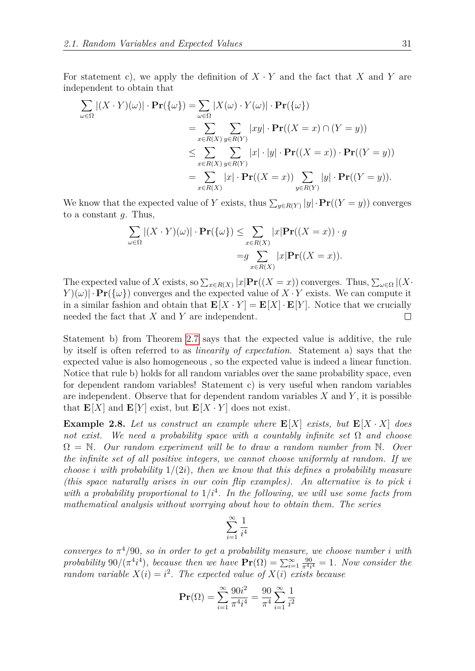For statement c), we apply the definition of  $X \cdot Y$  and the fact that  $X$  and  $Y$  are independent to obtain that

$$
\sum_{\omega \in \Omega} |(X \cdot Y)(\omega)| \cdot \mathbf{Pr}(\{\omega\}) = \sum_{\omega \in \Omega} |X(\omega) \cdot Y(\omega)| \cdot \mathbf{Pr}(\{\omega\})
$$
  
\n
$$
= \sum_{x \in R(X)} \sum_{y \in R(Y)} |xy| \cdot \mathbf{Pr}((X = x) \cap (Y = y))
$$
  
\n
$$
\leq \sum_{x \in R(X)} \sum_{y \in R(Y)} |x| \cdot |y| \cdot \mathbf{Pr}((X = x)) \cdot \mathbf{Pr}((Y = y))
$$
  
\n
$$
= \sum_{x \in R(X)} |x| \cdot \mathbf{Pr}((X = x)) \sum_{y \in R(Y)} |y| \cdot \mathbf{Pr}((Y = y)).
$$

We know that the expected value of *Y* exists, thus  $\sum_{y \in R(Y)} |y| \cdot \mathbf{Pr}((Y = y))$  converges to a constant *g*. Thus,

$$
\sum_{\omega \in \Omega} |(X \cdot Y)(\omega)| \cdot \mathbf{Pr}(\{\omega\}) \le \sum_{x \in R(X)} |x| \mathbf{Pr}((X = x)) \cdot g
$$

$$
= g \sum_{x \in R(X)} |x| \mathbf{Pr}((X = x)).
$$

The expected value of *X* exists, so  $\sum_{x \in R(X)} |x| \mathbf{Pr}((X = x))$  converges. Thus,  $\sum_{\omega \in \Omega} |(X \cdot$ *Y* )( $\omega$ )| · **Pr**( $\{\omega\}$ ) converges and the expected value of *X* · *Y* exists. We can compute it in a similar fashion and obtain that  $\mathbf{E}[X \cdot Y] = \mathbf{E}[X] \cdot \mathbf{E}[Y]$ . Notice that we crucially needed the fact that *X* and *Y* are independent.  $\Box$ 

Statement b) from Theorem [2.7](#page-3-0) says that the expected value is additive, the rule by itself is often referred to as *linearity of expectation*. Statement a) says that the expected value is also homogeneous , so the expected value is indeed a linear function. Notice that rule b) holds for all random variables over the same probability space, even for dependent random variables! Statement c) is very useful when random variables are independent. Observe that for dependent random variables *X* and *Y* , it is possible that  $\mathbf{E}[X]$  and  $\mathbf{E}[Y]$  exist, but  $\mathbf{E}[X \cdot Y]$  does not exist.

**Example 2.8.** Let us construct an example where  $\mathbf{E}[X]$  exists, but  $\mathbf{E}[X \cdot X]$  does *not exist. We need a probability space with a countably infinite set* Ω *and choose* Ω = N*. Our random experiment will be to draw a random number from* N*. Over the infinite set of all positive integers, we cannot choose uniformly at random. If we choose i* with probability  $1/(2i)$ , then we know that this defines a probability measure *(this space naturally arises in our coin flip examples). An alternative is to pick i* with a probability proportional to  $1/i<sup>4</sup>$ . In the following, we will use some facts from *mathematical analysis without worrying about how to obtain them. The series*

$$
\sum_{i=1}^\infty \frac{1}{i^4}
$$

*converges to*  $\pi^4/90$ *, so in order to get a probability measure, we choose number <i>i* with probability 90/( $\pi$ <sup>4</sup>*i*<sup>4</sup>), because then we have  $\mathbf{Pr}(\Omega) = \sum_{i=1}^{\infty} \frac{90}{\pi^{4}i}$  $\frac{90}{\pi^4 i^4} = 1$ *. Now consider the random variable*  $X(i) = i^2$ . The expected value of  $X(i)$  exists because

$$
\mathbf{Pr}(\Omega) = \sum_{i=1}^{\infty} \frac{90i^2}{\pi^4 i^4} = \frac{90}{\pi^4} \sum_{i=1}^{\infty} \frac{1}{i^2}
$$